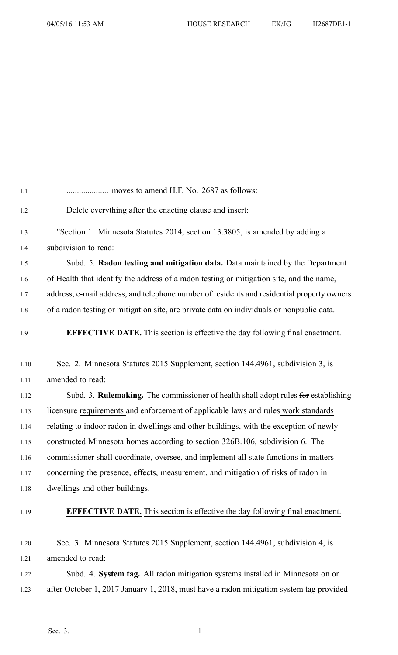| 1.1  |                                                                                            |
|------|--------------------------------------------------------------------------------------------|
| 1.2  | Delete everything after the enacting clause and insert:                                    |
| 1.3  | "Section 1. Minnesota Statutes 2014, section 13.3805, is amended by adding a               |
| 1.4  | subdivision to read:                                                                       |
| 1.5  | Subd. 5. Radon testing and mitigation data. Data maintained by the Department              |
| 1.6  | of Health that identify the address of a radon testing or mitigation site, and the name,   |
| 1.7  | address, e-mail address, and telephone number of residents and residential property owners |
| 1.8  | of a radon testing or mitigation site, are private data on individuals or nonpublic data.  |
| 1.9  | <b>EFFECTIVE DATE.</b> This section is effective the day following final enactment.        |
| 1.10 | Sec. 2. Minnesota Statutes 2015 Supplement, section 144.4961, subdivision 3, is            |
| 1.11 | amended to read:                                                                           |
| 1.12 | Subd. 3. Rulemaking. The commissioner of health shall adopt rules for establishing         |
| 1.13 | licensure requirements and enforcement of applicable laws and rules work standards         |
| 1.14 | relating to indoor radon in dwellings and other buildings, with the exception of newly     |
| 1.15 | constructed Minnesota homes according to section 326B.106, subdivision 6. The              |
| 1.16 | commissioner shall coordinate, oversee, and implement all state functions in matters       |
| 1.17 | concerning the presence, effects, measurement, and mitigation of risks of radon in         |
| 1.18 | dwellings and other buildings.                                                             |
| 1.19 | <b>EFFECTIVE DATE.</b> This section is effective the day following final enactment.        |
| 1.20 | Sec. 3. Minnesota Statutes 2015 Supplement, section 144.4961, subdivision 4, is            |
| 1.21 | amended to read:                                                                           |
| 1.22 | Subd. 4. System tag. All radon mitigation systems installed in Minnesota on or             |
| 1.23 | after October 1, 2017 January 1, 2018, must have a radon mitigation system tag provided    |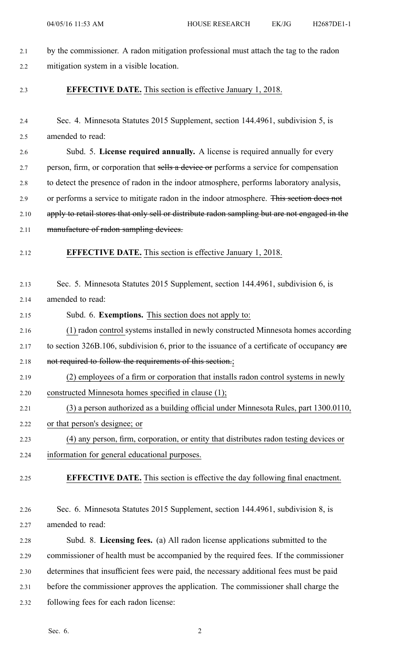| 2.1  | by the commissioner. A radon mitigation professional must attach the tag to the radon         |
|------|-----------------------------------------------------------------------------------------------|
| 2.2  | mitigation system in a visible location.                                                      |
| 2.3  | <b>EFFECTIVE DATE.</b> This section is effective January 1, 2018.                             |
| 2.4  | Sec. 4. Minnesota Statutes 2015 Supplement, section 144.4961, subdivision 5, is               |
| 2.5  | amended to read:                                                                              |
| 2.6  | Subd. 5. License required annually. A license is required annually for every                  |
| 2.7  | person, firm, or corporation that sells a device or performs a service for compensation       |
| 2.8  | to detect the presence of radon in the indoor atmosphere, performs laboratory analysis,       |
| 2.9  | or performs a service to mitigate radon in the indoor atmosphere. This section does not       |
| 2.10 | apply to retail stores that only sell or distribute radon sampling but are not engaged in the |
| 2.11 | manufacture of radon sampling devices.                                                        |
| 2.12 | <b>EFFECTIVE DATE.</b> This section is effective January 1, 2018.                             |
| 2.13 | Sec. 5. Minnesota Statutes 2015 Supplement, section 144.4961, subdivision 6, is               |
| 2.14 | amended to read:                                                                              |
| 2.15 | Subd. 6. Exemptions. This section does not apply to:                                          |
| 2.16 | (1) radon control systems installed in newly constructed Minnesota homes according            |
| 2.17 | to section 326B.106, subdivision 6, prior to the issuance of a certificate of occupancy are   |
| 2.18 | not required to follow the requirements of this section.;                                     |
| 2.19 | (2) employees of a firm or corporation that installs radon control systems in newly           |
| 2.20 | constructed Minnesota homes specified in clause (1);                                          |
| 2.21 | (3) a person authorized as a building official under Minnesota Rules, part 1300.0110,         |
| 2.22 | or that person's designee; or                                                                 |
| 2.23 | (4) any person, firm, corporation, or entity that distributes radon testing devices or        |
| 2.24 | information for general educational purposes.                                                 |
| 2.25 | <b>EFFECTIVE DATE.</b> This section is effective the day following final enactment.           |
| 2.26 | Sec. 6. Minnesota Statutes 2015 Supplement, section 144.4961, subdivision 8, is               |
| 2.27 | amended to read:                                                                              |
| 2.28 | Subd. 8. Licensing fees. (a) All radon license applications submitted to the                  |
| 2.29 | commissioner of health must be accompanied by the required fees. If the commissioner          |
| 2.30 | determines that insufficient fees were paid, the necessary additional fees must be paid       |
| 2.31 | before the commissioner approves the application. The commissioner shall charge the           |
| 2.32 | following fees for each radon license:                                                        |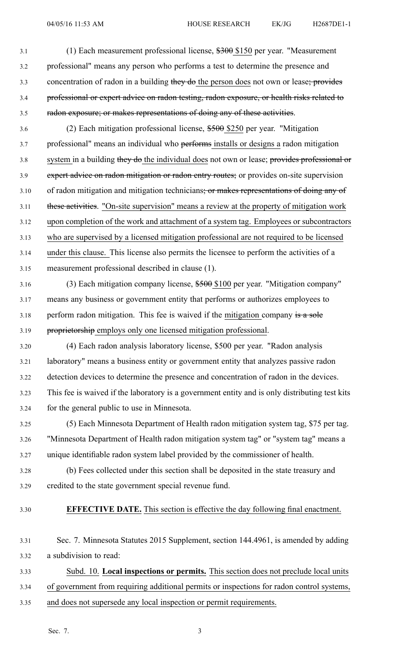04/05/16 11:53 AM HOUSE RESEARCH EK/JG H2687DE1-1

3.1 (1) Each measurement professional license, \$300 \$150 per year. "Measurement 3.2 professional" means any person who performs <sup>a</sup> test to determine the presence and 3.3 concentration of radon in a building they do the person does not own or lease; provides 3.4 professional or exper<sup>t</sup> advice on radon testing, radon exposure, or health risks related to 3.5 radon exposure; or makes representations of doing any of these activities.

3.6 (2) Each mitigation professional license, \$500 \$250 per year. "Mitigation 3.7 professional" means an individual who performs installs or designs <sup>a</sup> radon mitigation 3.8 system in a building they do the individual does not own or lease; provides professional or 3.9 expert advice on radon mitigation or radon entry routes; or provides on-site supervision 3.10 of radon mitigation and mitigation technicians; or makes representations of doing any of 3.11 these activities. "On-site supervision" means <sup>a</sup> review at the property of mitigation work 3.12 upon completion of the work and attachment of <sup>a</sup> system tag. Employees or subcontractors 3.13 who are supervised by <sup>a</sup> licensed mitigation professional are not required to be licensed 3.14 under this clause. This license also permits the licensee to perform the activities of <sup>a</sup> 3.15 measurement professional described in clause (1).

3.16 (3) Each mitigation company license, \$500 \$100 per year. "Mitigation company" 3.17 means any business or governmen<sup>t</sup> entity that performs or authorizes employees to 3.18 perform radon mitigation. This fee is waived if the mitigation company is a sole 3.19 proprietorship employs only one licensed mitigation professional.

3.20 (4) Each radon analysis laboratory license, \$500 per year. "Radon analysis 3.21 laboratory" means <sup>a</sup> business entity or governmen<sup>t</sup> entity that analyzes passive radon 3.22 detection devices to determine the presence and concentration of radon in the devices. 3.23 This fee is waived if the laboratory is <sup>a</sup> governmen<sup>t</sup> entity and is only distributing test kits 3.24 for the general public to use in Minnesota.

3.25 (5) Each Minnesota Department of Health radon mitigation system tag, \$75 per tag. 3.26 "Minnesota Department of Health radon mitigation system tag" or "system tag" means <sup>a</sup> 3.27 unique identifiable radon system label provided by the commissioner of health.

- 3.28 (b) Fees collected under this section shall be deposited in the state treasury and 3.29 credited to the state governmen<sup>t</sup> special revenue fund.
- 

3.30 **EFFECTIVE DATE.** This section is effective the day following final enactment.

3.31 Sec. 7. Minnesota Statutes 2015 Supplement, section 144.4961, is amended by adding 3.32 <sup>a</sup> subdivision to read:

3.33 Subd. 10. **Local inspections or permits.** This section does not preclude local units 3.34 of governmen<sup>t</sup> from requiring additional permits or inspections for radon control systems,

3.35 and does not supersede any local inspection or permit requirements.